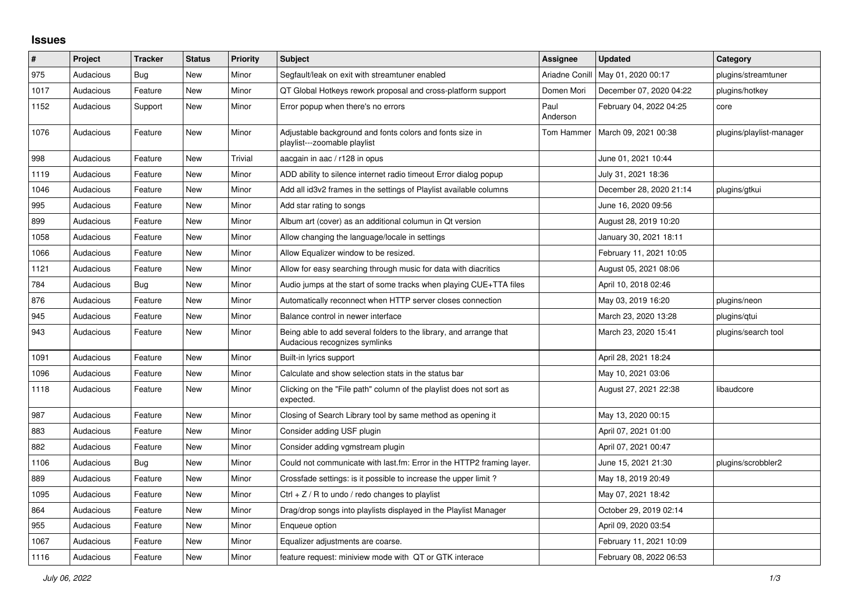## **Issues**

| $\#$ | Project   | <b>Tracker</b> | <b>Status</b> | <b>Priority</b> | <b>Subject</b>                                                                                      | <b>Assignee</b>  | <b>Updated</b>          | Category                 |
|------|-----------|----------------|---------------|-----------------|-----------------------------------------------------------------------------------------------------|------------------|-------------------------|--------------------------|
| 975  | Audacious | Bug            | New           | Minor           | Segfault/leak on exit with streamtuner enabled                                                      | Ariadne Conill   | May 01, 2020 00:17      | plugins/streamtuner      |
| 1017 | Audacious | Feature        | New           | Minor           | QT Global Hotkeys rework proposal and cross-platform support                                        | Domen Mori       | December 07, 2020 04:22 | plugins/hotkey           |
| 1152 | Audacious | Support        | <b>New</b>    | Minor           | Error popup when there's no errors                                                                  | Paul<br>Anderson | February 04, 2022 04:25 | core                     |
| 1076 | Audacious | Feature        | <b>New</b>    | Minor           | Adjustable background and fonts colors and fonts size in<br>playlist---zoomable playlist            | Tom Hammer       | March 09, 2021 00:38    | plugins/playlist-manager |
| 998  | Audacious | Feature        | <b>New</b>    | Trivial         | aacgain in aac / r128 in opus                                                                       |                  | June 01, 2021 10:44     |                          |
| 1119 | Audacious | Feature        | New           | Minor           | ADD ability to silence internet radio timeout Error dialog popup                                    |                  | July 31, 2021 18:36     |                          |
| 1046 | Audacious | Feature        | New           | Minor           | Add all id3v2 frames in the settings of Playlist available columns                                  |                  | December 28, 2020 21:14 | plugins/gtkui            |
| 995  | Audacious | Feature        | <b>New</b>    | Minor           | Add star rating to songs                                                                            |                  | June 16, 2020 09:56     |                          |
| 899  | Audacious | Feature        | <b>New</b>    | Minor           | Album art (cover) as an additional columun in Qt version                                            |                  | August 28, 2019 10:20   |                          |
| 1058 | Audacious | Feature        | New           | Minor           | Allow changing the language/locale in settings                                                      |                  | January 30, 2021 18:11  |                          |
| 1066 | Audacious | Feature        | New           | Minor           | Allow Equalizer window to be resized.                                                               |                  | February 11, 2021 10:05 |                          |
| 1121 | Audacious | Feature        | <b>New</b>    | Minor           | Allow for easy searching through music for data with diacritics                                     |                  | August 05, 2021 08:06   |                          |
| 784  | Audacious | Bug            | <b>New</b>    | Minor           | Audio jumps at the start of some tracks when playing CUE+TTA files                                  |                  | April 10, 2018 02:46    |                          |
| 876  | Audacious | Feature        | New           | Minor           | Automatically reconnect when HTTP server closes connection                                          |                  | May 03, 2019 16:20      | plugins/neon             |
| 945  | Audacious | Feature        | New           | Minor           | Balance control in newer interface                                                                  |                  | March 23, 2020 13:28    | plugins/gtui             |
| 943  | Audacious | Feature        | New           | Minor           | Being able to add several folders to the library, and arrange that<br>Audacious recognizes symlinks |                  | March 23, 2020 15:41    | plugins/search tool      |
| 1091 | Audacious | Feature        | <b>New</b>    | Minor           | Built-in lyrics support                                                                             |                  | April 28, 2021 18:24    |                          |
| 1096 | Audacious | Feature        | New           | Minor           | Calculate and show selection stats in the status bar                                                |                  | May 10, 2021 03:06      |                          |
| 1118 | Audacious | Feature        | New           | Minor           | Clicking on the "File path" column of the playlist does not sort as<br>expected.                    |                  | August 27, 2021 22:38   | libaudcore               |
| 987  | Audacious | Feature        | New           | Minor           | Closing of Search Library tool by same method as opening it                                         |                  | May 13, 2020 00:15      |                          |
| 883  | Audacious | Feature        | <b>New</b>    | Minor           | Consider adding USF plugin                                                                          |                  | April 07, 2021 01:00    |                          |
| 882  | Audacious | Feature        | <b>New</b>    | Minor           | Consider adding vgmstream plugin                                                                    |                  | April 07, 2021 00:47    |                          |
| 1106 | Audacious | <b>Bug</b>     | New           | Minor           | Could not communicate with last.fm: Error in the HTTP2 framing layer.                               |                  | June 15, 2021 21:30     | plugins/scrobbler2       |
| 889  | Audacious | Feature        | New           | Minor           | Crossfade settings: is it possible to increase the upper limit?                                     |                  | May 18, 2019 20:49      |                          |
| 1095 | Audacious | Feature        | New           | Minor           | Ctrl $+$ Z / R to undo / redo changes to playlist                                                   |                  | May 07, 2021 18:42      |                          |
| 864  | Audacious | Feature        | New           | Minor           | Drag/drop songs into playlists displayed in the Playlist Manager                                    |                  | October 29, 2019 02:14  |                          |
| 955  | Audacious | Feature        | New           | Minor           | Enqueue option                                                                                      |                  | April 09, 2020 03:54    |                          |
| 1067 | Audacious | Feature        | <b>New</b>    | Minor           | Equalizer adjustments are coarse.                                                                   |                  | February 11, 2021 10:09 |                          |
| 1116 | Audacious | Feature        | New           | Minor           | feature request: miniview mode with QT or GTK interace                                              |                  | February 08, 2022 06:53 |                          |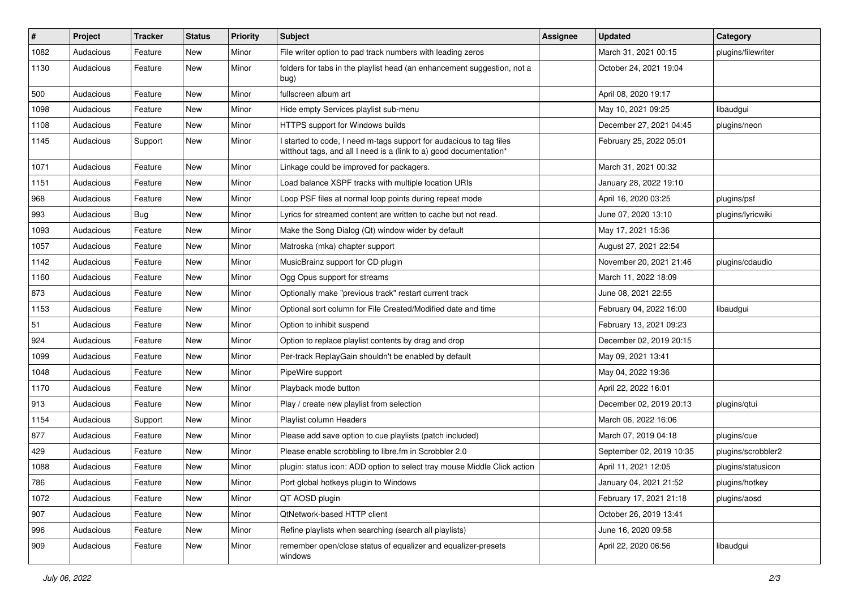| $\sharp$ | Project   | <b>Tracker</b> | <b>Status</b> | <b>Priority</b> | <b>Subject</b>                                                                                                                            | <b>Assignee</b> | <b>Updated</b>           | Category           |
|----------|-----------|----------------|---------------|-----------------|-------------------------------------------------------------------------------------------------------------------------------------------|-----------------|--------------------------|--------------------|
| 1082     | Audacious | Feature        | New           | Minor           | File writer option to pad track numbers with leading zeros                                                                                |                 | March 31, 2021 00:15     | plugins/filewriter |
| 1130     | Audacious | Feature        | <b>New</b>    | Minor           | folders for tabs in the playlist head (an enhancement suggestion, not a<br>bug)                                                           |                 | October 24, 2021 19:04   |                    |
| 500      | Audacious | Feature        | New           | Minor           | fullscreen album art                                                                                                                      |                 | April 08, 2020 19:17     |                    |
| 1098     | Audacious | Feature        | <b>New</b>    | Minor           | Hide empty Services playlist sub-menu                                                                                                     |                 | May 10, 2021 09:25       | libaudgui          |
| 1108     | Audacious | Feature        | New           | Minor           | HTTPS support for Windows builds                                                                                                          |                 | December 27, 2021 04:45  | plugins/neon       |
| 1145     | Audacious | Support        | New           | Minor           | I started to code, I need m-tags support for audacious to tag files<br>witthout tags, and all I need is a (link to a) good documentation* |                 | February 25, 2022 05:01  |                    |
| 1071     | Audacious | Feature        | <b>New</b>    | Minor           | Linkage could be improved for packagers.                                                                                                  |                 | March 31, 2021 00:32     |                    |
| 1151     | Audacious | Feature        | <b>New</b>    | Minor           | Load balance XSPF tracks with multiple location URIs                                                                                      |                 | January 28, 2022 19:10   |                    |
| 968      | Audacious | Feature        | New           | Minor           | Loop PSF files at normal loop points during repeat mode                                                                                   |                 | April 16, 2020 03:25     | plugins/psf        |
| 993      | Audacious | Bug            | New           | Minor           | Lyrics for streamed content are written to cache but not read.                                                                            |                 | June 07, 2020 13:10      | plugins/lyricwiki  |
| 1093     | Audacious | Feature        | <b>New</b>    | Minor           | Make the Song Dialog (Qt) window wider by default                                                                                         |                 | May 17, 2021 15:36       |                    |
| 1057     | Audacious | Feature        | New           | Minor           | Matroska (mka) chapter support                                                                                                            |                 | August 27, 2021 22:54    |                    |
| 1142     | Audacious | Feature        | <b>New</b>    | Minor           | MusicBrainz support for CD plugin                                                                                                         |                 | November 20, 2021 21:46  | plugins/cdaudio    |
| 1160     | Audacious | Feature        | New           | Minor           | Ogg Opus support for streams                                                                                                              |                 | March 11, 2022 18:09     |                    |
| 873      | Audacious | Feature        | New           | Minor           | Optionally make "previous track" restart current track                                                                                    |                 | June 08, 2021 22:55      |                    |
| 1153     | Audacious | Feature        | <b>New</b>    | Minor           | Optional sort column for File Created/Modified date and time                                                                              |                 | February 04, 2022 16:00  | libaudgui          |
| 51       | Audacious | Feature        | New           | Minor           | Option to inhibit suspend                                                                                                                 |                 | February 13, 2021 09:23  |                    |
| 924      | Audacious | Feature        | <b>New</b>    | Minor           | Option to replace playlist contents by drag and drop                                                                                      |                 | December 02, 2019 20:15  |                    |
| 1099     | Audacious | Feature        | New           | Minor           | Per-track ReplayGain shouldn't be enabled by default                                                                                      |                 | May 09, 2021 13:41       |                    |
| 1048     | Audacious | Feature        | New           | Minor           | PipeWire support                                                                                                                          |                 | May 04, 2022 19:36       |                    |
| 1170     | Audacious | Feature        | New           | Minor           | Playback mode button                                                                                                                      |                 | April 22, 2022 16:01     |                    |
| 913      | Audacious | Feature        | New           | Minor           | Play / create new playlist from selection                                                                                                 |                 | December 02, 2019 20:13  | plugins/qtui       |
| 1154     | Audacious | Support        | New           | Minor           | Playlist column Headers                                                                                                                   |                 | March 06, 2022 16:06     |                    |
| 877      | Audacious | Feature        | New           | Minor           | Please add save option to cue playlists (patch included)                                                                                  |                 | March 07, 2019 04:18     | plugins/cue        |
| 429      | Audacious | Feature        | New           | Minor           | Please enable scrobbling to libre.fm in Scrobbler 2.0                                                                                     |                 | September 02, 2019 10:35 | plugins/scrobbler2 |
| 1088     | Audacious | Feature        | <b>New</b>    | Minor           | plugin: status icon: ADD option to select tray mouse Middle Click action                                                                  |                 | April 11, 2021 12:05     | plugins/statusicon |
| 786      | Audacious | Feature        | New           | Minor           | Port global hotkeys plugin to Windows                                                                                                     |                 | January 04, 2021 21:52   | plugins/hotkey     |
| 1072     | Audacious | Feature        | New           | Minor           | QT AOSD plugin                                                                                                                            |                 | February 17, 2021 21:18  | plugins/aosd       |
| 907      | Audacious | Feature        | New           | Minor           | QtNetwork-based HTTP client                                                                                                               |                 | October 26, 2019 13:41   |                    |
| 996      | Audacious | Feature        | New           | Minor           | Refine playlists when searching (search all playlists)                                                                                    |                 | June 16, 2020 09:58      |                    |
| 909      | Audacious | Feature        | New           | Minor           | remember open/close status of equalizer and equalizer-presets<br>windows                                                                  |                 | April 22, 2020 06:56     | libaudgui          |